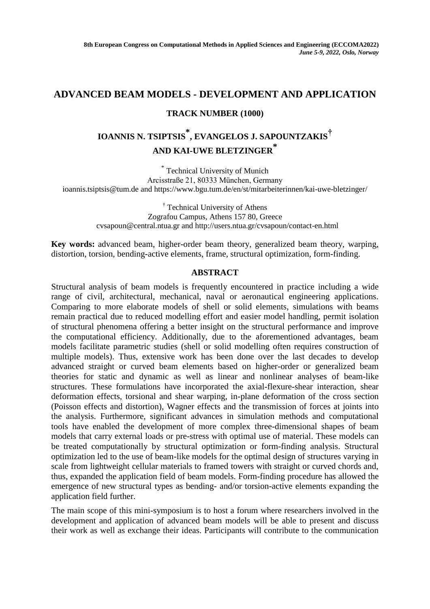## **ADVANCED BEAM MODELS - DEVELOPMENT AND APPLICATION**

## **TRACK NUMBER (1000)**

## **IOANNIS N. TSIPTSIS \* , EVANGELOS J. SAPOUNTZAKIS† AND KAI-UWE BLETZINGER \***

\* Technical University of Munich Arcisstraße 21, 80333 München, Germany ioannis.tsiptsis@tum.de and https://www.bgu.tum.de/en/st/mitarbeiterinnen/kai-uwe-bletzinger/

> † Technical University of Athens Zografou Campus, Athens 157 80, Greece cvsapoun@central.ntua.gr and http://users.ntua.gr/cvsapoun/contact-en.html

**Key words:** advanced beam, higher-order beam theory, generalized beam theory, warping, distortion, torsion, bending-active elements, frame, structural optimization, form-finding.

## **ABSTRACT**

Structural analysis of beam models is frequently encountered in practice including a wide range of civil, architectural, mechanical, naval or aeronautical engineering applications. Comparing to more elaborate models of shell or solid elements, simulations with beams remain practical due to reduced modelling effort and easier model handling, permit isolation of structural phenomena offering a better insight on the structural performance and improve the computational efficiency. Additionally, due to the aforementioned advantages, beam models facilitate parametric studies (shell or solid modelling often requires construction of multiple models). Thus, extensive work has been done over the last decades to develop advanced straight or curved beam elements based on higher-order or generalized beam theories for static and dynamic as well as linear and nonlinear analyses of beam-like structures. These formulations have incorporated the axial-flexure-shear interaction, shear deformation effects, torsional and shear warping, in-plane deformation of the cross section (Poisson effects and distortion), Wagner effects and the transmission of forces at joints into the analysis. Furthermore, significant advances in simulation methods and computational tools have enabled the development of more complex three-dimensional shapes of beam models that carry external loads or pre-stress with optimal use of material. These models can be treated computationally by structural optimization or form-finding analysis. Structural optimization led to the use of beam-like models for the optimal design of structures varying in scale from lightweight cellular materials to framed towers with straight or curved chords and, thus, expanded the application field of beam models. Form-finding procedure has allowed the emergence of new structural types as bending- and/or torsion-active elements expanding the application field further.

The main scope of this mini-symposium is to host a forum where researchers involved in the development and application of advanced beam models will be able to present and discuss their work as well as exchange their ideas. Participants will contribute to the communication